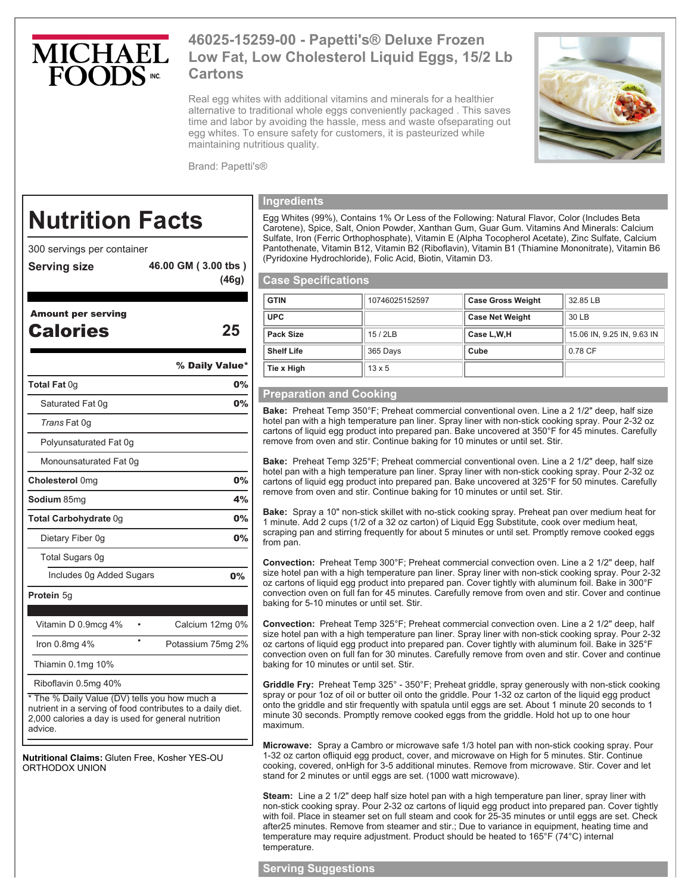

# **46025-15259-00 - Papetti's® Deluxe Frozen Low Fat, Low Cholesterol Liquid Eggs, 15/2 Lb Cartons**

Real egg whites with additional vitamins and minerals for a healthier alternative to traditional whole eggs conveniently packaged . This saves time and labor by avoiding the hassle, mess and waste ofseparating out egg whites. To ensure safety for customers, it is pasteurized while maintaining nutritious quality.



Brand: Papetti's®

**(46g)** 

# **Nutrition Facts**

300 servings per container

- **Serving size 46.00 GM ( 3.00 tbs )**
- 

| <b>Amount per serving</b><br>Calories                                                                       | 25                |
|-------------------------------------------------------------------------------------------------------------|-------------------|
|                                                                                                             | % Daily Value*    |
| Total Fat 0g                                                                                                | 0%                |
| Saturated Fat 0g                                                                                            | 0%                |
| Trans Fat 0q                                                                                                |                   |
| Polyunsaturated Fat 0g                                                                                      |                   |
| Monounsaturated Fat 0g                                                                                      |                   |
| <b>Cholesterol</b> 0mg                                                                                      | 0%                |
| <b>Sodium</b> 85mg                                                                                          | 4%                |
| Total Carbohydrate 0g                                                                                       | 0%                |
| Dietary Fiber 0g                                                                                            | 0%                |
| Total Sugars 0g                                                                                             |                   |
| Includes 0g Added Sugars                                                                                    | 0%                |
| Protein 5g                                                                                                  |                   |
|                                                                                                             |                   |
| Vitamin D 0.9mcg 4%<br>٠<br>$\bullet$                                                                       | Calcium 12mg 0%   |
| Iron $0.8$ mg $4%$                                                                                          | Potassium 75mg 2% |
| Thiamin 0.1mg 10%                                                                                           |                   |
| Riboflavin 0.5mg 40%                                                                                        |                   |
| * The % Daily Value (DV) tells you how much a<br>nutrient in a serving of food contributes to a daily diet. |                   |

nutrient in a serving of food contributes to a daily diet. 2,000 calories a day is used for general nutrition advice.

**Nutritional Claims:** Gluten Free, Kosher YES-OU ORTHODOX UNION

## **Ingredients**

Egg Whites (99%), Contains 1% Or Less of the Following: Natural Flavor, Color (Includes Beta Carotene), Spice, Salt, Onion Powder, Xanthan Gum, Guar Gum. Vitamins And Minerals: Calcium Sulfate, Iron (Ferric Orthophosphate), Vitamin E (Alpha Tocopherol Acetate), Zinc Sulfate, Calcium Pantothenate, Vitamin B12, Vitamin B2 (Riboflavin), Vitamin B1 (Thiamine Mononitrate), Vitamin B6 (Pyridoxine Hydrochloride), Folic Acid, Biotin, Vitamin D3.

#### **Case Specifications**

| <b>GTIN</b>       | 10746025152597 | <b>Case Gross Weight</b> | 32.85 LB                   |
|-------------------|----------------|--------------------------|----------------------------|
| <b>UPC</b>        |                | <b>Case Net Weight</b>   | 30 LB                      |
| Pack Size         | 15/2LB         | Case L, W, H             | 15.06 IN, 9.25 IN, 9.63 IN |
| <b>Shelf Life</b> | 365 Days       | Cube                     | 0.78 CF                    |
| Tie x High        | $13 \times 5$  |                          |                            |

# **Preparation and Cooking**

**Bake:** Preheat Temp 350°F; Preheat commercial conventional oven. Line a 2 1/2" deep, half size hotel pan with a high temperature pan liner. Spray liner with non-stick cooking spray. Pour 2-32 oz cartons of liquid egg product into prepared pan. Bake uncovered at 350°F for 45 minutes. Carefully remove from oven and stir. Continue baking for 10 minutes or until set. Stir.

**Bake:** Preheat Temp 325°F; Preheat commercial conventional oven. Line a 2 1/2" deep, half size hotel pan with a high temperature pan liner. Spray liner with non-stick cooking spray. Pour 2-32 oz cartons of liquid egg product into prepared pan. Bake uncovered at 325°F for 50 minutes. Carefully remove from oven and stir. Continue baking for 10 minutes or until set. Stir.

**Bake:** Spray a 10" non-stick skillet with no-stick cooking spray. Preheat pan over medium heat for 1 minute. Add 2 cups (1/2 of a 32 oz carton) of Liquid Egg Substitute, cook over medium heat, scraping pan and stirring frequently for about 5 minutes or until set. Promptly remove cooked eggs from pan.

**Convection:** Preheat Temp 300°F; Preheat commercial convection oven. Line a 2 1/2" deep, half size hotel pan with a high temperature pan liner. Spray liner with non-stick cooking spray. Pour 2-32 oz cartons of liquid egg product into prepared pan. Cover tightly with aluminum foil. Bake in 300°F convection oven on full fan for 45 minutes. Carefully remove from oven and stir. Cover and continue baking for 5-10 minutes or until set. Stir.

**Convection:** Preheat Temp 325°F; Preheat commercial convection oven. Line a 2 1/2" deep, half size hotel pan with a high temperature pan liner. Spray liner with non-stick cooking spray. Pour 2-32 oz cartons of liquid egg product into prepared pan. Cover tightly with aluminum foil. Bake in 325°F convection oven on full fan for 30 minutes. Carefully remove from oven and stir. Cover and continue baking for 10 minutes or until set. Stir.

**Griddle Fry:** Preheat Temp 325° - 350°F; Preheat griddle, spray generously with non-stick cooking spray or pour 1oz of oil or butter oil onto the griddle. Pour 1-32 oz carton of the liquid egg product onto the griddle and stir frequently with spatula until eggs are set. About 1 minute 20 seconds to 1 minute 30 seconds. Promptly remove cooked eggs from the griddle. Hold hot up to one hour maximum.

**Microwave:** Spray a Cambro or microwave safe 1/3 hotel pan with non-stick cooking spray. Pour 1-32 oz carton ofliquid egg product, cover, and microwave on High for 5 minutes. Stir. Continue cooking, covered, onHigh for 3-5 additional minutes. Remove from microwave. Stir. Cover and let stand for 2 minutes or until eggs are set. (1000 watt microwave).

**Steam:** Line a 2 1/2" deep half size hotel pan with a high temperature pan liner, spray liner with non-stick cooking spray. Pour 2-32 oz cartons of liquid egg product into prepared pan. Cover tightly with foil. Place in steamer set on full steam and cook for 25-35 minutes or until eggs are set. Check after25 minutes. Remove from steamer and stir.; Due to variance in equipment, heating time and temperature may require adjustment. Product should be heated to 165°F (74°C) internal temperature.

### **Serving Suggestions**